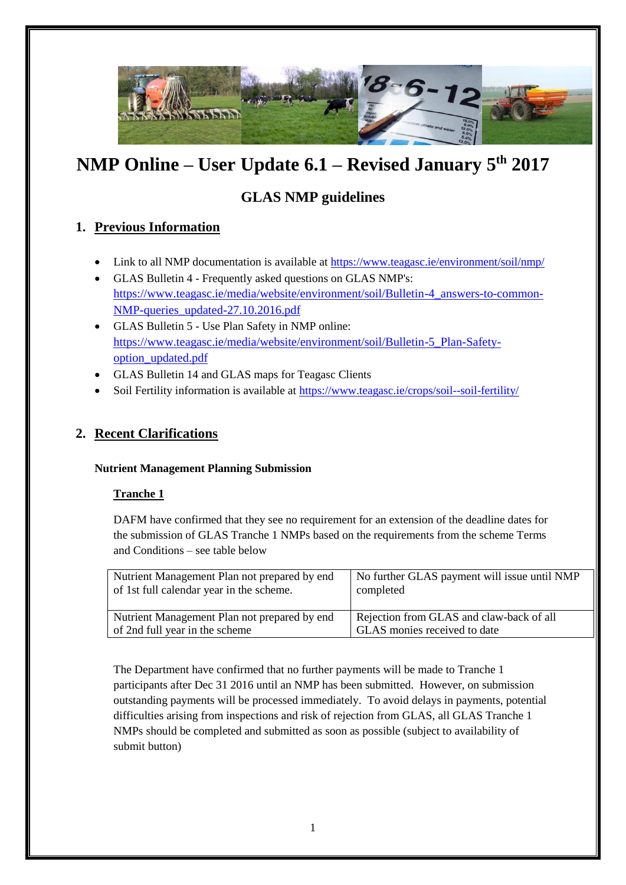

# **NMP Online – User Update 6.1 – Revised January 5th 2017**

# **GLAS NMP guidelines**

# **1. Previous Information**

- Link to all NMP documentation is available at<https://www.teagasc.ie/environment/soil/nmp/>
- GLAS Bulletin 4 Frequently asked questions on GLAS NMP's: [https://www.teagasc.ie/media/website/environment/soil/Bulletin-4\\_answers-to-common-](https://www.teagasc.ie/media/website/environment/soil/Bulletin-4_answers-to-common-NMP-queries_updated-27.10.2016.pdf)[NMP-queries\\_updated-27.10.2016.pdf](https://www.teagasc.ie/media/website/environment/soil/Bulletin-4_answers-to-common-NMP-queries_updated-27.10.2016.pdf)
- GLAS Bulletin 5 Use Plan Safety in NMP online: [https://www.teagasc.ie/media/website/environment/soil/Bulletin-5\\_Plan-Safety](https://www.teagasc.ie/media/website/environment/soil/Bulletin-5_Plan-Safety-option_updated.pdf)[option\\_updated.pdf](https://www.teagasc.ie/media/website/environment/soil/Bulletin-5_Plan-Safety-option_updated.pdf)
- GLAS Bulletin 14 and GLAS maps for Teagasc Clients
- Soil Fertility information is available at<https://www.teagasc.ie/crops/soil--soil-fertility/>

## **2. Recent Clarifications**

#### **Nutrient Management Planning Submission**

#### **Tranche 1**

DAFM have confirmed that they see no requirement for an extension of the deadline dates for the submission of GLAS Tranche 1 NMPs based on the requirements from the scheme Terms and Conditions – see table below

| Nutrient Management Plan not prepared by end | No further GLAS payment will issue until NMP |
|----------------------------------------------|----------------------------------------------|
| of 1st full calendar year in the scheme.     | completed                                    |
| Nutrient Management Plan not prepared by end | Rejection from GLAS and claw-back of all     |
| of 2nd full year in the scheme               | GLAS monies received to date                 |

The Department have confirmed that no further payments will be made to Tranche 1 participants after Dec 31 2016 until an NMP has been submitted. However, on submission outstanding payments will be processed immediately. To avoid delays in payments, potential difficulties arising from inspections and risk of rejection from GLAS, all GLAS Tranche 1 NMPs should be completed and submitted as soon as possible (subject to availability of submit button)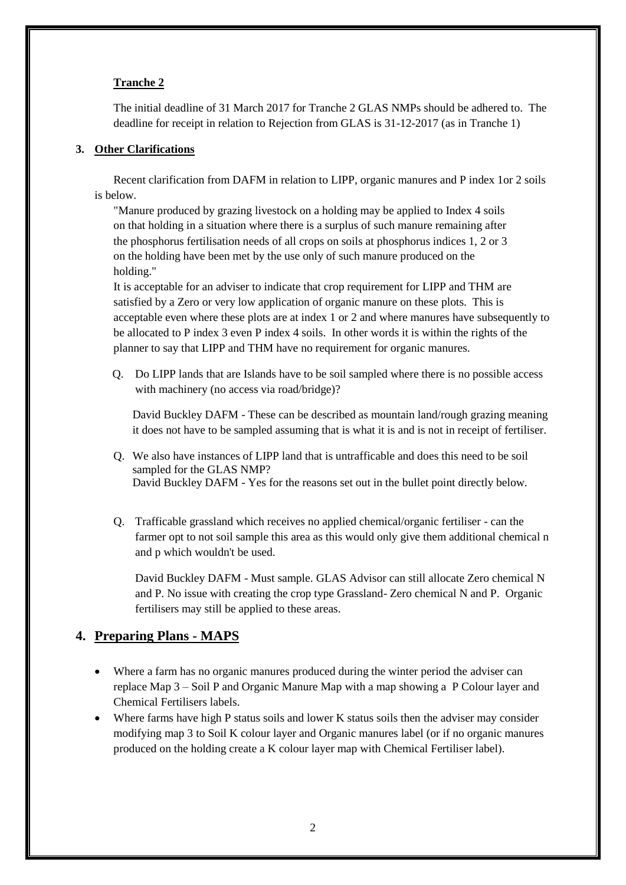#### **Tranche 2**

The initial deadline of 31 March 2017 for Tranche 2 GLAS NMPs should be adhered to. The deadline for receipt in relation to Rejection from GLAS is 31-12-2017 (as in Tranche 1)

#### **3. Other Clarifications**

Recent clarification from DAFM in relation to LIPP, organic manures and P index 1or 2 soils is below.

"Manure produced by grazing livestock on a holding may be applied to Index 4 soils on that holding in a situation where there is a surplus of such manure remaining after the phosphorus fertilisation needs of all crops on soils at phosphorus indices 1, 2 or 3 on the holding have been met by the use only of such manure produced on the holding."

It is acceptable for an adviser to indicate that crop requirement for LIPP and THM are satisfied by a Zero or very low application of organic manure on these plots. This is acceptable even where these plots are at index 1 or 2 and where manures have subsequently to be allocated to P index 3 even P index 4 soils. In other words it is within the rights of the planner to say that LIPP and THM have no requirement for organic manures.

Q. Do LIPP lands that are Islands have to be soil sampled where there is no possible access with machinery (no access via road/bridge)?

David Buckley DAFM - These can be described as mountain land/rough grazing meaning it does not have to be sampled assuming that is what it is and is not in receipt of fertiliser.

- Q. We also have instances of LIPP land that is untrafficable and does this need to be soil sampled for the GLAS NMP? David Buckley DAFM - Yes for the reasons set out in the bullet point directly below.
- Q. Trafficable grassland which receives no applied chemical/organic fertiliser can the farmer opt to not soil sample this area as this would only give them additional chemical n and p which wouldn't be used.

David Buckley DAFM - Must sample. GLAS Advisor can still allocate Zero chemical N and P. No issue with creating the crop type Grassland- Zero chemical N and P. Organic fertilisers may still be applied to these areas.

#### **4. Preparing Plans - MAPS**

- Where a farm has no organic manures produced during the winter period the adviser can replace Map 3 – Soil P and Organic Manure Map with a map showing a P Colour layer and Chemical Fertilisers labels.
- Where farms have high P status soils and lower K status soils then the adviser may consider modifying map 3 to Soil K colour layer and Organic manures label (or if no organic manures produced on the holding create a K colour layer map with Chemical Fertiliser label).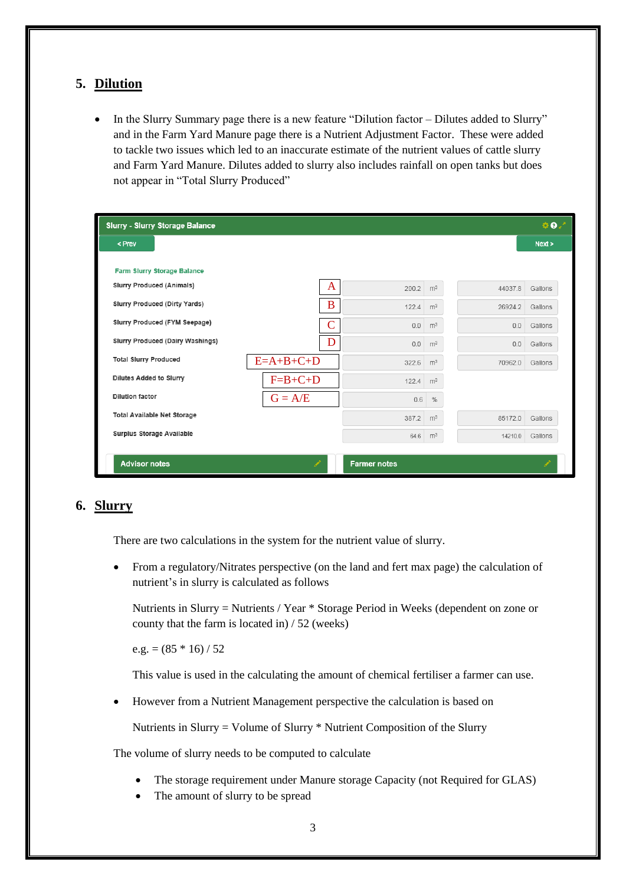## **5. Dilution**

• In the Slurry Summary page there is a new feature "Dilution factor – Dilutes added to Slurry" and in the Farm Yard Manure page there is a Nutrient Adjustment Factor. These were added to tackle two issues which led to an inaccurate estimate of the nutrient values of cattle slurry and Farm Yard Manure. Dilutes added to slurry also includes rainfall on open tanks but does not appear in "Total Slurry Produced"

| $\Phi$ .<br><b>Slurry - Slurry Storage Balance</b> |             |                     |                |         |         |
|----------------------------------------------------|-------------|---------------------|----------------|---------|---------|
| < Prev                                             |             |                     |                |         | Next >  |
| Farm Slurry Storage Balance                        |             |                     |                |         |         |
| <b>Slurry Produced (Animals)</b>                   | A           | 200.2               | m <sup>3</sup> | 44037.8 | Gallons |
| Slurry Produced (Dirty Yards)                      | B           | 122.4               | m <sup>3</sup> | 26924.2 | Gallons |
| Slurry Produced (FYM Seepage)                      |             | 0.0                 | m <sup>3</sup> | 0.0     | Gallons |
| Slurry Produced (Dairy Washings)                   | D           | 0.0                 | m <sup>3</sup> | 0.0     | Gallons |
| <b>Total Slurry Produced</b>                       | $E=A+B+C+D$ | 322.6               | m <sup>3</sup> | 70962.0 | Gallons |
| Dilutes Added to Slurry                            | $F=B+C+D$   | 122.4               | m <sup>3</sup> |         |         |
| <b>Dilution factor</b>                             | $G = A/E$   | 0.6                 | $\%$           |         |         |
| <b>Total Available Net Storage</b>                 |             | 387.2               | m <sup>3</sup> | 85172.0 | Gallons |
| Surplus Storage Available                          |             | 64.6                | m <sup>3</sup> | 14210.0 | Gallons |
| <b>Advisor notes</b>                               |             | <b>Farmer notes</b> |                |         |         |

# **6. Slurry**

There are two calculations in the system for the nutrient value of slurry.

 From a regulatory/Nitrates perspective (on the land and fert max page) the calculation of nutrient's in slurry is calculated as follows

Nutrients in Slurry = Nutrients / Year \* Storage Period in Weeks (dependent on zone or county that the farm is located in) / 52 (weeks)

e.g. =  $(85 * 16) / 52$ 

This value is used in the calculating the amount of chemical fertiliser a farmer can use.

However from a Nutrient Management perspective the calculation is based on

Nutrients in Slurry = Volume of Slurry \* Nutrient Composition of the Slurry

The volume of slurry needs to be computed to calculate

- The storage requirement under Manure storage Capacity (not Required for GLAS)
- The amount of slurry to be spread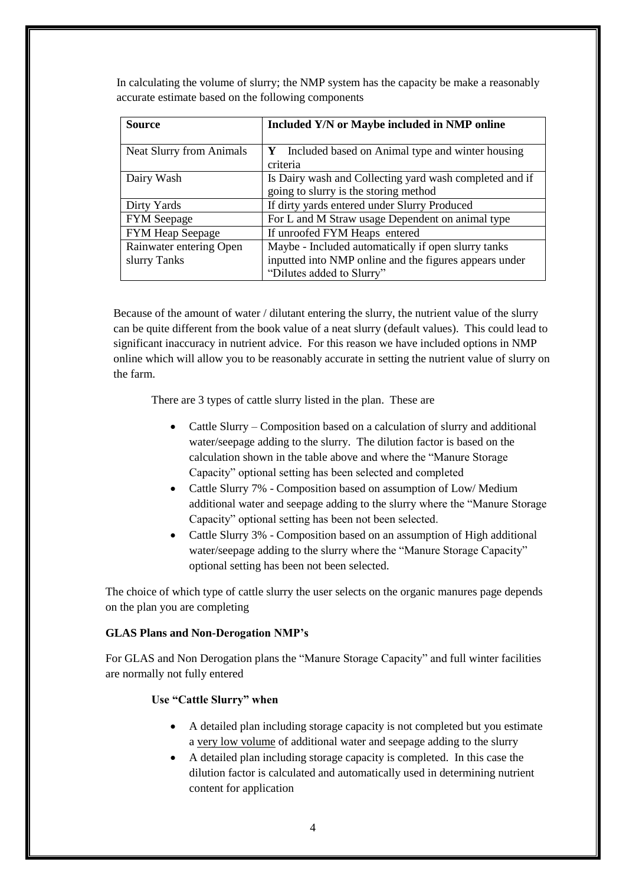In calculating the volume of slurry; the NMP system has the capacity be make a reasonably accurate estimate based on the following components

| <b>Source</b>                   | Included Y/N or Maybe included in NMP online                                                     |
|---------------------------------|--------------------------------------------------------------------------------------------------|
| <b>Neat Slurry from Animals</b> | Included based on Animal type and winter housing<br>Y<br>criteria                                |
| Dairy Wash                      | Is Dairy wash and Collecting yard wash completed and if<br>going to slurry is the storing method |
| Dirty Yards                     | If dirty yards entered under Slurry Produced                                                     |
| <b>FYM</b> Seepage              | For L and M Straw usage Dependent on animal type                                                 |
| <b>FYM Heap Seepage</b>         | If unroofed FYM Heaps entered                                                                    |
| Rainwater entering Open         | Maybe - Included automatically if open slurry tanks                                              |
| slurry Tanks                    | inputted into NMP online and the figures appears under<br>"Dilutes added to Slurry"              |

Because of the amount of water / dilutant entering the slurry, the nutrient value of the slurry can be quite different from the book value of a neat slurry (default values). This could lead to significant inaccuracy in nutrient advice. For this reason we have included options in NMP online which will allow you to be reasonably accurate in setting the nutrient value of slurry on the farm.

There are 3 types of cattle slurry listed in the plan. These are

- Cattle Slurry Composition based on a calculation of slurry and additional water/seepage adding to the slurry. The dilution factor is based on the calculation shown in the table above and where the "Manure Storage Capacity" optional setting has been selected and completed
- Cattle Slurry 7% Composition based on assumption of Low/Medium additional water and seepage adding to the slurry where the "Manure Storage Capacity" optional setting has been not been selected.
- Cattle Slurry 3% Composition based on an assumption of High additional water/seepage adding to the slurry where the "Manure Storage Capacity" optional setting has been not been selected.

The choice of which type of cattle slurry the user selects on the organic manures page depends on the plan you are completing

#### **GLAS Plans and Non-Derogation NMP's**

For GLAS and Non Derogation plans the "Manure Storage Capacity" and full winter facilities are normally not fully entered

#### **Use "Cattle Slurry" when**

- A detailed plan including storage capacity is not completed but you estimate a very low volume of additional water and seepage adding to the slurry
- A detailed plan including storage capacity is completed. In this case the dilution factor is calculated and automatically used in determining nutrient content for application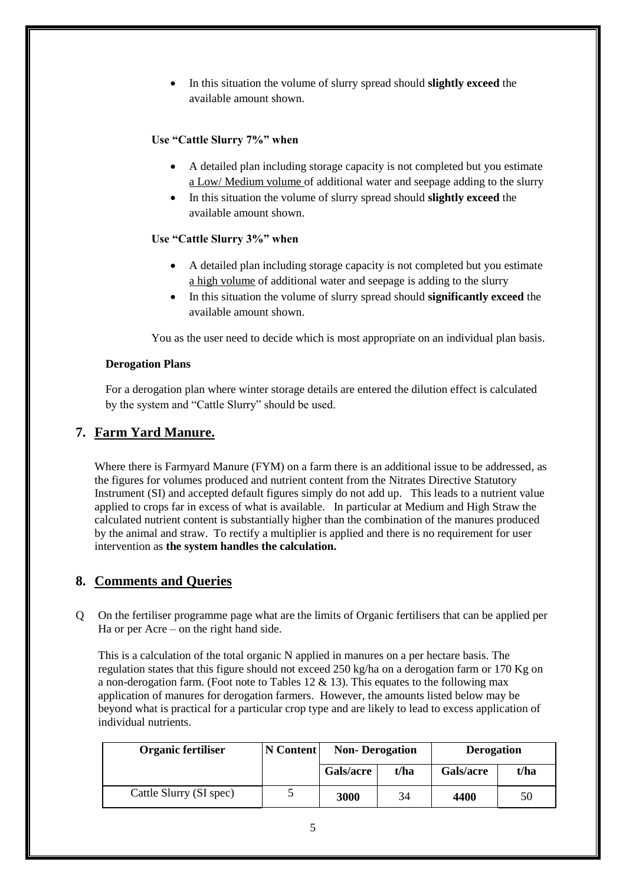In this situation the volume of slurry spread should **slightly exceed** the available amount shown.

#### **Use "Cattle Slurry 7%" when**

- A detailed plan including storage capacity is not completed but you estimate a Low/ Medium volume of additional water and seepage adding to the slurry
- In this situation the volume of slurry spread should **slightly exceed** the available amount shown.

#### **Use "Cattle Slurry 3%" when**

- A detailed plan including storage capacity is not completed but you estimate a high volume of additional water and seepage is adding to the slurry
- In this situation the volume of slurry spread should **significantly exceed** the available amount shown.

You as the user need to decide which is most appropriate on an individual plan basis.

#### **Derogation Plans**

For a derogation plan where winter storage details are entered the dilution effect is calculated by the system and "Cattle Slurry" should be used.

## **7. Farm Yard Manure.**

Where there is Farmyard Manure (FYM) on a farm there is an additional issue to be addressed, as the figures for volumes produced and nutrient content from the Nitrates Directive Statutory Instrument (SI) and accepted default figures simply do not add up. This leads to a nutrient value applied to crops far in excess of what is available. In particular at Medium and High Straw the calculated nutrient content is substantially higher than the combination of the manures produced by the animal and straw. To rectify a multiplier is applied and there is no requirement for user intervention as **the system handles the calculation.**

#### **8. Comments and Queries**

Q On the fertiliser programme page what are the limits of Organic fertilisers that can be applied per Ha or per Acre – on the right hand side.

This is a calculation of the total organic N applied in manures on a per hectare basis. The regulation states that this figure should not exceed 250 kg/ha on a derogation farm or 170 Kg on a non-derogation farm. (Foot note to Tables 12  $\&$  13). This equates to the following max application of manures for derogation farmers. However, the amounts listed below may be beyond what is practical for a particular crop type and are likely to lead to excess application of individual nutrients.

| <b>Organic fertiliser</b> | N Content | <b>Non-Derogation</b> |      | <b>Derogation</b> |      |
|---------------------------|-----------|-----------------------|------|-------------------|------|
|                           |           | Gals/acre             | t/ha | Gals/acre         | t/ha |
| Cattle Slurry (SI spec)   |           | 3000                  | 34   | 4400              | 50   |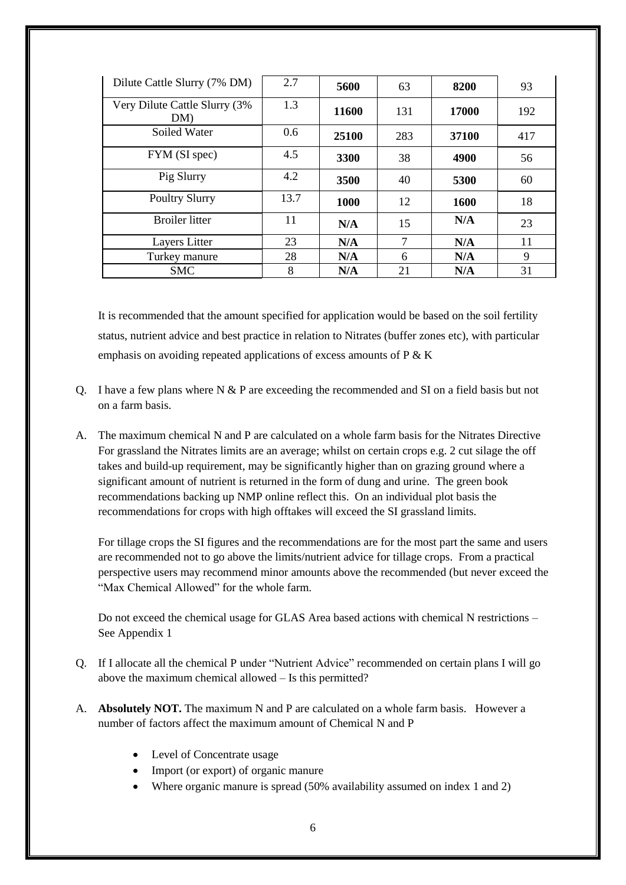| Dilute Cattle Slurry (7% DM)         | 2.7  | 5600        | 63  | 8200  | 93  |
|--------------------------------------|------|-------------|-----|-------|-----|
| Very Dilute Cattle Slurry (3%<br>DM) | 1.3  | 11600       | 131 | 17000 | 192 |
| Soiled Water                         | 0.6  | 25100       | 283 | 37100 | 417 |
| FYM (SI spec)                        | 4.5  | 3300        | 38  | 4900  | 56  |
| Pig Slurry                           | 4.2  | 3500        | 40  | 5300  | 60  |
| <b>Poultry Slurry</b>                | 13.7 | <b>1000</b> | 12  | 1600  | 18  |
| <b>Broiler litter</b>                | 11   | N/A         | 15  | N/A   | 23  |
| Layers Litter                        | 23   | N/A         | 7   | N/A   | 11  |
| Turkey manure                        | 28   | N/A         | 6   | N/A   | 9   |
| <b>SMC</b>                           | 8    | N/A         | 21  | N/A   | 31  |

It is recommended that the amount specified for application would be based on the soil fertility status, nutrient advice and best practice in relation to Nitrates (buffer zones etc), with particular emphasis on avoiding repeated applications of excess amounts of  $P \& K$ 

- Q. I have a few plans where N & P are exceeding the recommended and SI on a field basis but not on a farm basis.
- A. The maximum chemical N and P are calculated on a whole farm basis for the Nitrates Directive For grassland the Nitrates limits are an average; whilst on certain crops e.g. 2 cut silage the off takes and build-up requirement, may be significantly higher than on grazing ground where a significant amount of nutrient is returned in the form of dung and urine. The green book recommendations backing up NMP online reflect this. On an individual plot basis the recommendations for crops with high offtakes will exceed the SI grassland limits.

For tillage crops the SI figures and the recommendations are for the most part the same and users are recommended not to go above the limits/nutrient advice for tillage crops. From a practical perspective users may recommend minor amounts above the recommended (but never exceed the "Max Chemical Allowed" for the whole farm.

Do not exceed the chemical usage for GLAS Area based actions with chemical N restrictions – See Appendix 1

- Q. If I allocate all the chemical P under "Nutrient Advice" recommended on certain plans I will go above the maximum chemical allowed – Is this permitted?
- A. **Absolutely NOT.** The maximum N and P are calculated on a whole farm basis. However a number of factors affect the maximum amount of Chemical N and P
	- Level of Concentrate usage
	- Import (or export) of organic manure
	- Where organic manure is spread (50% availability assumed on index 1 and 2)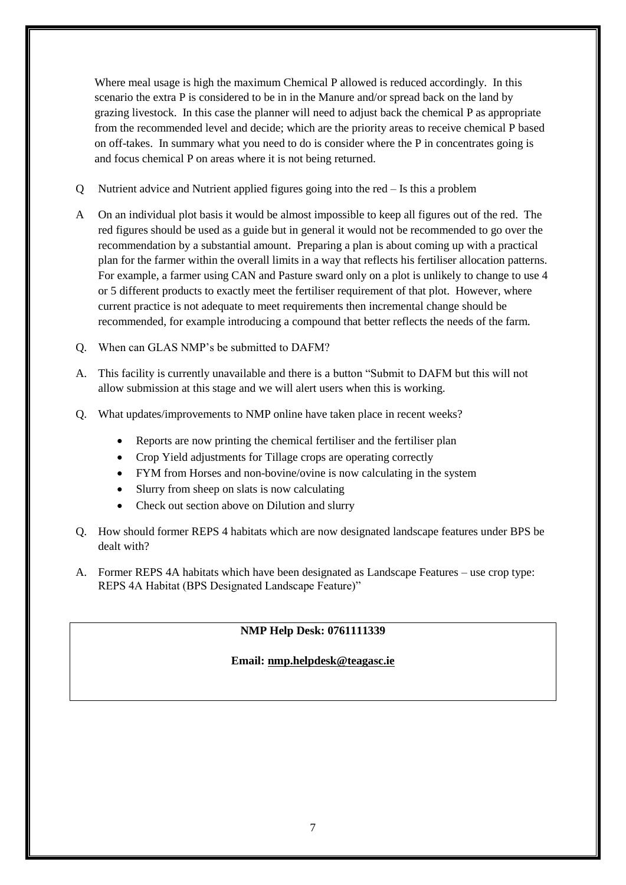Where meal usage is high the maximum Chemical P allowed is reduced accordingly. In this scenario the extra P is considered to be in in the Manure and/or spread back on the land by grazing livestock. In this case the planner will need to adjust back the chemical P as appropriate from the recommended level and decide; which are the priority areas to receive chemical P based on off-takes. In summary what you need to do is consider where the P in concentrates going is and focus chemical P on areas where it is not being returned.

- Q Nutrient advice and Nutrient applied figures going into the red Is this a problem
- A On an individual plot basis it would be almost impossible to keep all figures out of the red. The red figures should be used as a guide but in general it would not be recommended to go over the recommendation by a substantial amount. Preparing a plan is about coming up with a practical plan for the farmer within the overall limits in a way that reflects his fertiliser allocation patterns. For example, a farmer using CAN and Pasture sward only on a plot is unlikely to change to use 4 or 5 different products to exactly meet the fertiliser requirement of that plot. However, where current practice is not adequate to meet requirements then incremental change should be recommended, for example introducing a compound that better reflects the needs of the farm.
- Q. When can GLAS NMP's be submitted to DAFM?
- A. This facility is currently unavailable and there is a button "Submit to DAFM but this will not allow submission at this stage and we will alert users when this is working.
- Q. What updates/improvements to NMP online have taken place in recent weeks?
	- Reports are now printing the chemical fertiliser and the fertiliser plan
	- Crop Yield adjustments for Tillage crops are operating correctly
	- FYM from Horses and non-bovine/ovine is now calculating in the system
	- Slurry from sheep on slats is now calculating
	- Check out section above on Dilution and slurry
- Q. How should former REPS 4 habitats which are now designated landscape features under BPS be dealt with?
- A. Former REPS 4A habitats which have been designated as Landscape Features use crop type: REPS 4A Habitat (BPS Designated Landscape Feature)"

#### **NMP Help Desk: 0761111339**

#### **Email: [nmp.helpdesk@teagasc.ie](mailto:nmp.helpdesk@teagasc.ie)**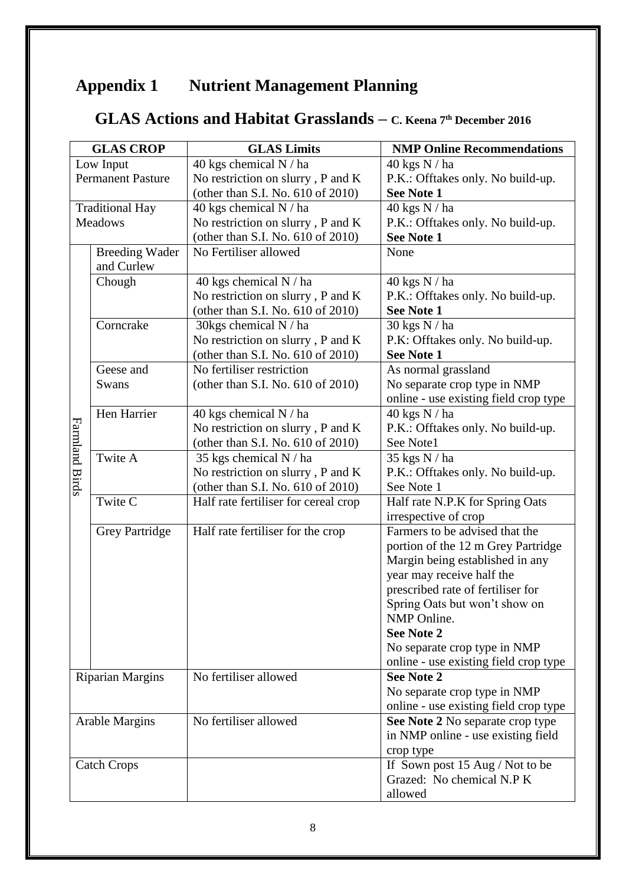# **Appendix 1 Nutrient Management Planning**

# **GLAS Actions and Habitat Grasslands – C. Keena 7th December <sup>2016</sup>**

|                          | <b>GLAS CROP</b>        | <b>GLAS Limits</b>                   | <b>NMP Online Recommendations</b>     |
|--------------------------|-------------------------|--------------------------------------|---------------------------------------|
| Low Input                |                         | 40 kgs chemical N / ha               | 40 kgs N / ha                         |
| <b>Permanent Pasture</b> |                         | No restriction on slurry, P and K    | P.K.: Offtakes only. No build-up.     |
|                          |                         | (other than S.I. No. 610 of 2010)    | <b>See Note 1</b>                     |
|                          | <b>Traditional Hay</b>  | 40 kgs chemical N / ha               | 40 kgs N / ha                         |
| Meadows                  |                         | No restriction on slurry, P and K    | P.K.: Offtakes only. No build-up.     |
|                          |                         | (other than S.I. No. 610 of 2010)    | <b>See Note 1</b>                     |
|                          | <b>Breeding Wader</b>   | No Fertiliser allowed                | None                                  |
|                          | and Curlew              |                                      |                                       |
|                          | Chough                  | 40 kgs chemical N / ha               | 40 kgs N / ha                         |
|                          |                         | No restriction on slurry, P and K    | P.K.: Offtakes only. No build-up.     |
|                          |                         | (other than S.I. No. 610 of 2010)    | See Note 1                            |
|                          | Corncrake               | $30 \mathrm{kg}$ chemical N / ha     | 30 kgs N / ha                         |
|                          |                         | No restriction on slurry, P and K    | P.K: Offtakes only. No build-up.      |
|                          |                         | (other than S.I. No. 610 of 2010)    | See Note 1                            |
|                          | Geese and               | No fertiliser restriction            | As normal grassland                   |
|                          | Swans                   | (other than S.I. No. 610 of 2010)    | No separate crop type in NMP          |
|                          |                         |                                      | online - use existing field crop type |
|                          | Hen Harrier             | 40 kgs chemical N / ha               | 40 kgs N / ha                         |
|                          |                         | No restriction on slurry, P and K    | P.K.: Offtakes only. No build-up.     |
|                          |                         | (other than S.I. No. 610 of 2010)    | See Note1                             |
|                          | Twite A                 | 35 kgs chemical N / ha               | 35 kgs N / ha                         |
|                          |                         | No restriction on slurry, P and K    | P.K.: Offtakes only. No build-up.     |
| <b>Farmland Birds</b>    |                         | (other than S.I. No. 610 of 2010)    | See Note 1                            |
|                          | Twite C                 | Half rate fertiliser for cereal crop | Half rate N.P.K for Spring Oats       |
|                          |                         |                                      | irrespective of crop                  |
|                          | <b>Grey Partridge</b>   | Half rate fertiliser for the crop    | Farmers to be advised that the        |
|                          |                         |                                      | portion of the 12 m Grey Partridge    |
|                          |                         |                                      | Margin being established in any       |
|                          |                         |                                      | year may receive half the             |
|                          |                         |                                      | prescribed rate of fertiliser for     |
|                          |                         |                                      | Spring Oats but won't show on         |
|                          |                         |                                      | NMP Online.                           |
|                          |                         |                                      | <b>See Note 2</b>                     |
|                          |                         |                                      | No separate crop type in NMP          |
|                          |                         |                                      | online - use existing field crop type |
|                          | <b>Riparian Margins</b> | No fertiliser allowed                | <b>See Note 2</b>                     |
|                          |                         |                                      | No separate crop type in NMP          |
|                          |                         |                                      | online - use existing field crop type |
|                          | <b>Arable Margins</b>   | No fertiliser allowed                | See Note 2 No separate crop type      |
|                          |                         |                                      | in NMP online - use existing field    |
|                          |                         |                                      | crop type                             |
|                          | <b>Catch Crops</b>      |                                      | If Sown post 15 Aug / Not to be       |
|                          |                         |                                      | Grazed: No chemical N.P K             |
|                          |                         |                                      | allowed                               |